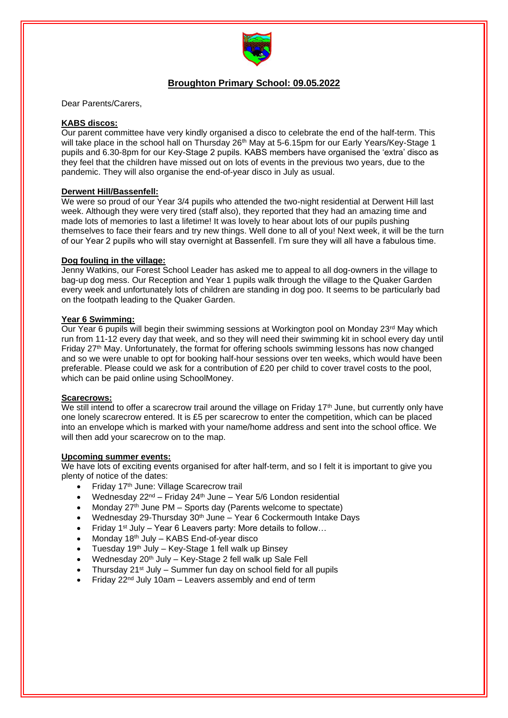

# **Broughton Primary School: 09.05.2022**

Dear Parents/Carers,

## **KABS discos:**

Our parent committee have very kindly organised a disco to celebrate the end of the half-term. This will take place in the school hall on Thursday 26<sup>th</sup> May at 5-6.15pm for our Early Years/Key-Stage 1 pupils and 6.30-8pm for our Key-Stage 2 pupils. KABS members have organised the 'extra' disco as they feel that the children have missed out on lots of events in the previous two years, due to the pandemic. They will also organise the end-of-year disco in July as usual.

#### **Derwent Hill/Bassenfell:**

We were so proud of our Year 3/4 pupils who attended the two-night residential at Derwent Hill last week. Although they were very tired (staff also), they reported that they had an amazing time and made lots of memories to last a lifetime! It was lovely to hear about lots of our pupils pushing themselves to face their fears and try new things. Well done to all of you! Next week, it will be the turn of our Year 2 pupils who will stay overnight at Bassenfell. I'm sure they will all have a fabulous time.

#### **Dog fouling in the village:**

Jenny Watkins, our Forest School Leader has asked me to appeal to all dog-owners in the village to bag-up dog mess. Our Reception and Year 1 pupils walk through the village to the Quaker Garden every week and unfortunately lots of children are standing in dog poo. It seems to be particularly bad on the footpath leading to the Quaker Garden.

#### **Year 6 Swimming:**

Our Year 6 pupils will begin their swimming sessions at Workington pool on Monday 23<sup>rd</sup> May which run from 11-12 every day that week, and so they will need their swimming kit in school every day until Friday 27th May. Unfortunately, the format for offering schools swimming lessons has now changed and so we were unable to opt for booking half-hour sessions over ten weeks, which would have been preferable. Please could we ask for a contribution of £20 per child to cover travel costs to the pool, which can be paid online using SchoolMoney.

#### **Scarecrows:**

We still intend to offer a scarecrow trail around the village on Friday  $17<sup>th</sup>$  June, but currently only have one lonely scarecrow entered. It is £5 per scarecrow to enter the competition, which can be placed into an envelope which is marked with your name/home address and sent into the school office. We will then add your scarecrow on to the map.

## **Upcoming summer events:**

We have lots of exciting events organised for after half-term, and so I felt it is important to give you plenty of notice of the dates:

- Friday 17th June: Village Scarecrow trail
- Wednesday 22nd Friday 24th June Year 5/6 London residential
- Monday 27<sup>th</sup> June PM Sports day (Parents welcome to spectate)
- Wednesday 29-Thursday 30<sup>th</sup> June Year 6 Cockermouth Intake Days
- Friday 1<sup>st</sup> July Year 6 Leavers party: More details to follow...
- Monday 18th July KABS End-of-year disco
- Tuesday  $19<sup>th</sup>$  July Key-Stage 1 fell walk up Binsey
- Wednesday 20<sup>th</sup> July Key-Stage 2 fell walk up Sale Fell
- Thursday  $21^{st}$  July Summer fun day on school field for all pupils
- Friday  $22^{nd}$  July 10am Leavers assembly and end of term